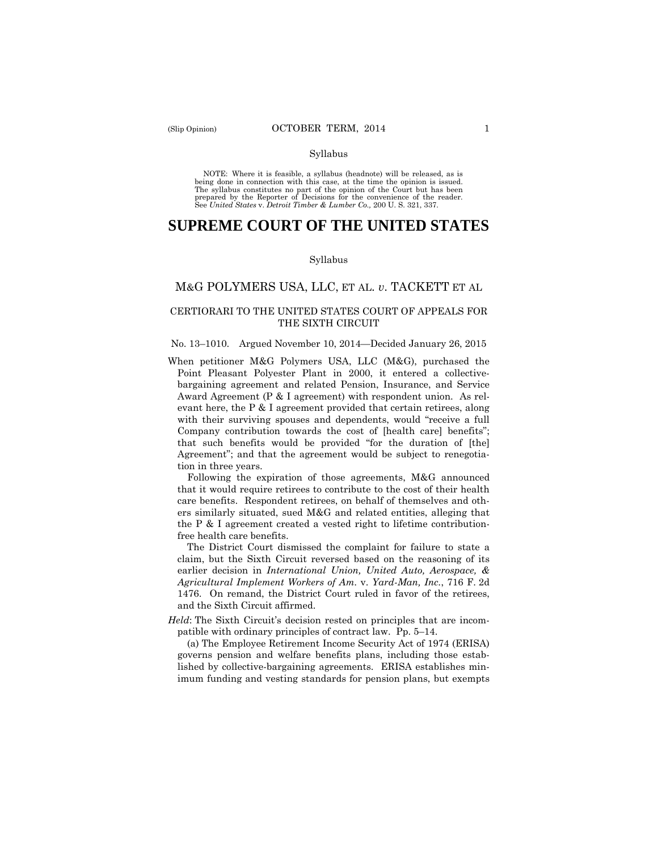#### Syllabus

 NOTE: Where it is feasible, a syllabus (headnote) will be released, as is being done in connection with this case, at the time the opinion is issued. The syllabus constitutes no part of the opinion of the Court but has been<br>prepared by the Reporter of Decisions for the convenience of the reader.<br>See United States v. Detroit Timber & Lumber Co., 200 U.S. 321, 337.

## **SUPREME COURT OF THE UNITED STATES**

#### Syllabus

## M&G POLYMERS USA, LLC, ET AL. *v*. TACKETT ET AL

#### CERTIORARI TO THE UNITED STATES COURT OF APPEALS FOR THE SIXTH CIRCUIT

#### No. 13–1010. Argued November 10, 2014—Decided January 26, 2015

When petitioner M&G Polymers USA, LLC (M&G), purchased the Point Pleasant Polyester Plant in 2000, it entered a collectivebargaining agreement and related Pension, Insurance, and Service Award Agreement (P & I agreement) with respondent union. As relevant here, the P & I agreement provided that certain retirees, along with their surviving spouses and dependents, would "receive a full Company contribution towards the cost of [health care] benefits"; that such benefits would be provided "for the duration of [the] Agreement"; and that the agreement would be subject to renegotiation in three years.

Following the expiration of those agreements, M&G announced that it would require retirees to contribute to the cost of their health care benefits. Respondent retirees, on behalf of themselves and others similarly situated, sued M&G and related entities, alleging that the P & I agreement created a vested right to lifetime contributionfree health care benefits.

The District Court dismissed the complaint for failure to state a claim, but the Sixth Circuit reversed based on the reasoning of its earlier decision in *International Union, United Auto, Aerospace, & Agricultural Implement Workers of Am.* v. *Yard-Man, Inc.*, 716 F. 2d 1476. On remand, the District Court ruled in favor of the retirees, and the Sixth Circuit affirmed.

*Held*: The Sixth Circuit's decision rested on principles that are incompatible with ordinary principles of contract law. Pp. 5–14.

(a) The Employee Retirement Income Security Act of 1974 (ERISA) governs pension and welfare benefits plans, including those established by collective-bargaining agreements. ERISA establishes minimum funding and vesting standards for pension plans, but exempts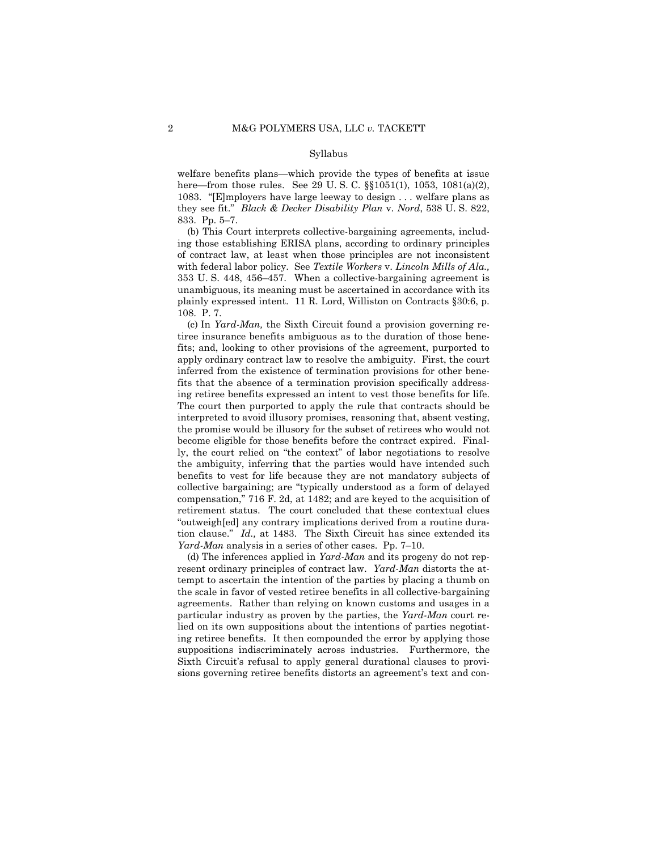#### Syllabus

welfare benefits plans—which provide the types of benefits at issue here—from those rules. See 29 U.S.C. §§1051(1), 1053, 1081(a)(2), 1083. "[E]mployers have large leeway to design . . . welfare plans as they see fit." *Black & Decker Disability Plan* v. *Nord*, 538 U. S. 822, 833. Pp. 5–7.

(b) This Court interprets collective-bargaining agreements, including those establishing ERISA plans, according to ordinary principles of contract law, at least when those principles are not inconsistent with federal labor policy. See *Textile Workers* v. *Lincoln Mills of Ala.,*  353 U. S. 448, 456–457. When a collective-bargaining agreement is unambiguous, its meaning must be ascertained in accordance with its plainly expressed intent. 11 R. Lord, Williston on Contracts §30:6, p. 108. P. 7.

(c) In *Yard-Man,* the Sixth Circuit found a provision governing retiree insurance benefits ambiguous as to the duration of those benefits; and, looking to other provisions of the agreement, purported to apply ordinary contract law to resolve the ambiguity. First, the court inferred from the existence of termination provisions for other benefits that the absence of a termination provision specifically addressing retiree benefits expressed an intent to vest those benefits for life. The court then purported to apply the rule that contracts should be interpreted to avoid illusory promises, reasoning that, absent vesting, the promise would be illusory for the subset of retirees who would not become eligible for those benefits before the contract expired. Finally, the court relied on "the context" of labor negotiations to resolve the ambiguity, inferring that the parties would have intended such benefits to vest for life because they are not mandatory subjects of collective bargaining; are "typically understood as a form of delayed compensation," 716 F. 2d, at 1482; and are keyed to the acquisition of retirement status. The court concluded that these contextual clues "outweigh[ed] any contrary implications derived from a routine duration clause." *Id.,* at 1483. The Sixth Circuit has since extended its *Yard-Man* analysis in a series of other cases. Pp. 7–10.

(d) The inferences applied in *Yard-Man* and its progeny do not represent ordinary principles of contract law. *Yard-Man* distorts the attempt to ascertain the intention of the parties by placing a thumb on the scale in favor of vested retiree benefits in all collective-bargaining agreements. Rather than relying on known customs and usages in a particular industry as proven by the parties, the *Yard-Man* court relied on its own suppositions about the intentions of parties negotiating retiree benefits. It then compounded the error by applying those suppositions indiscriminately across industries. Furthermore, the Sixth Circuit's refusal to apply general durational clauses to provisions governing retiree benefits distorts an agreement's text and con-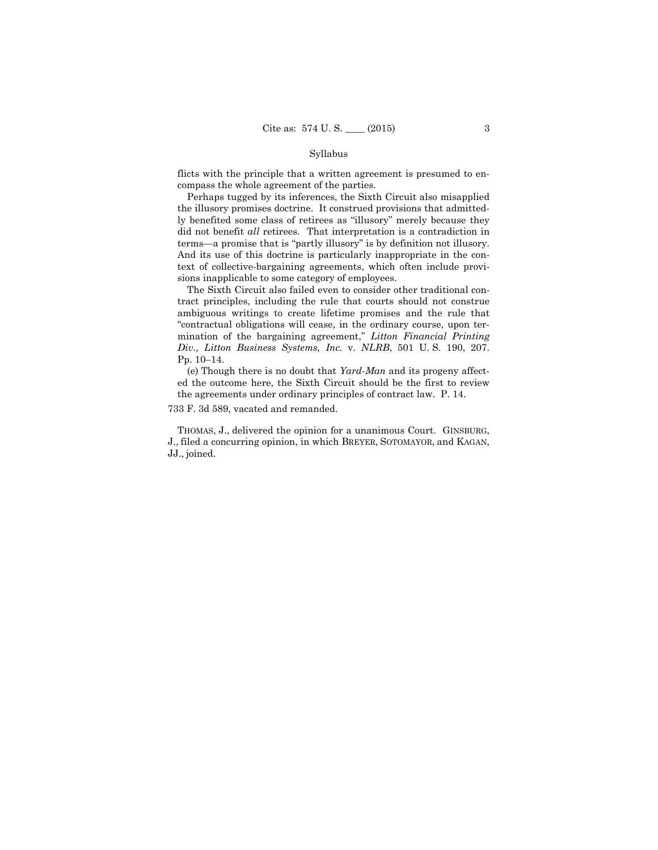### Syllabus

flicts with the principle that a written agreement is presumed to encompass the whole agreement of the parties.

Perhaps tugged by its inferences, the Sixth Circuit also misapplied the illusory promises doctrine. It construed provisions that admittedly benefited some class of retirees as "illusory" merely because they did not benefit *all* retirees. That interpretation is a contradiction in terms—a promise that is "partly illusory" is by definition not illusory. And its use of this doctrine is particularly inappropriate in the context of collective-bargaining agreements, which often include provisions inapplicable to some category of employees.

The Sixth Circuit also failed even to consider other traditional contract principles, including the rule that courts should not construe ambiguous writings to create lifetime promises and the rule that "contractual obligations will cease, in the ordinary course, upon termination of the bargaining agreement," *Litton Financial Printing Div., Litton Business Systems, Inc.* v. *NLRB*, 501 U. S. 190, 207. Pp. 10–14.

(e) Though there is no doubt that *Yard-Man* and its progeny affected the outcome here, the Sixth Circuit should be the first to review the agreements under ordinary principles of contract law. P. 14.

733 F. 3d 589, vacated and remanded.

 THOMAS, J., delivered the opinion for a unanimous Court. GINSBURG, J., filed a concurring opinion, in which BREYER, SOTOMAYOR, and KAGAN, JJ., joined.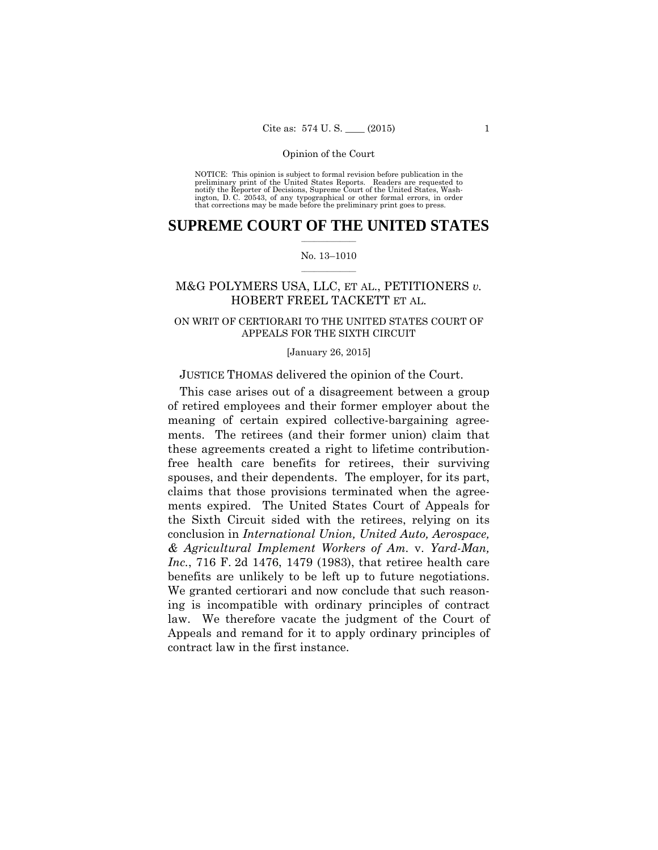preliminary print of the United States Reports. Readers are requested to notify the Reporter of Decisions, Supreme Court of the United States, Wash- ington, D. C. 20543, of any typographical or other formal errors, in order that corrections may be made before the preliminary print goes to press. NOTICE: This opinion is subject to formal revision before publication in the

## $\frac{1}{2}$  ,  $\frac{1}{2}$  ,  $\frac{1}{2}$  ,  $\frac{1}{2}$  ,  $\frac{1}{2}$  ,  $\frac{1}{2}$  ,  $\frac{1}{2}$ **SUPREME COURT OF THE UNITED STATES**

#### $\frac{1}{2}$  ,  $\frac{1}{2}$  ,  $\frac{1}{2}$  ,  $\frac{1}{2}$  ,  $\frac{1}{2}$  ,  $\frac{1}{2}$ No. 13–1010

## M&G POLYMERS USA, LLC, ET AL., PETITIONERS *v.* HOBERT FREEL TACKETT ET AL.

## ON WRIT OF CERTIORARI TO THE UNITED STATES COURT OF APPEALS FOR THE SIXTH CIRCUIT

#### [January 26, 2015]

## JUSTICE THOMAS delivered the opinion of the Court.

This case arises out of a disagreement between a group of retired employees and their former employer about the meaning of certain expired collective-bargaining agreements. The retirees (and their former union) claim that these agreements created a right to lifetime contributionfree health care benefits for retirees, their surviving spouses, and their dependents. The employer, for its part, claims that those provisions terminated when the agreements expired. The United States Court of Appeals for the Sixth Circuit sided with the retirees, relying on its conclusion in *International Union, United Auto, Aerospace, & Agricultural Implement Workers of Am.* v. *Yard-Man, Inc.*, 716 F. 2d 1476, 1479 (1983), that retiree health care benefits are unlikely to be left up to future negotiations. We granted certiorari and now conclude that such reasoning is incompatible with ordinary principles of contract law. We therefore vacate the judgment of the Court of Appeals and remand for it to apply ordinary principles of contract law in the first instance.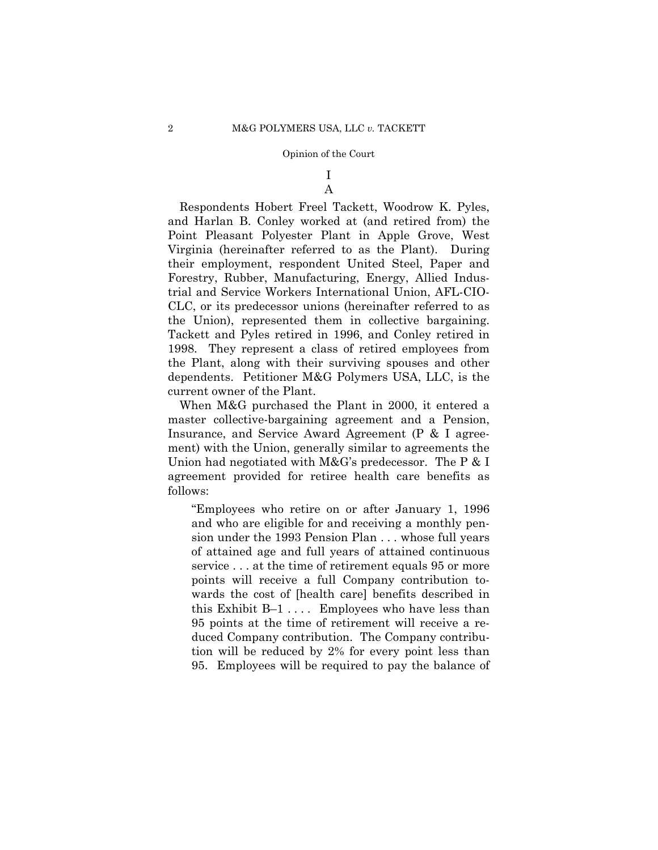# I

A

Respondents Hobert Freel Tackett, Woodrow K. Pyles, and Harlan B. Conley worked at (and retired from) the Point Pleasant Polyester Plant in Apple Grove, West Virginia (hereinafter referred to as the Plant). During their employment, respondent United Steel, Paper and Forestry, Rubber, Manufacturing, Energy, Allied Industrial and Service Workers International Union, AFL-CIO-CLC, or its predecessor unions (hereinafter referred to as the Union), represented them in collective bargaining. Tackett and Pyles retired in 1996, and Conley retired in 1998. They represent a class of retired employees from the Plant, along with their surviving spouses and other dependents. Petitioner M&G Polymers USA, LLC, is the current owner of the Plant.

When M&G purchased the Plant in 2000, it entered a master collective-bargaining agreement and a Pension, Insurance, and Service Award Agreement (P & I agreement) with the Union, generally similar to agreements the Union had negotiated with M&G's predecessor. The P & I agreement provided for retiree health care benefits as follows:

"Employees who retire on or after January 1, 1996 and who are eligible for and receiving a monthly pension under the 1993 Pension Plan . . . whose full years of attained age and full years of attained continuous service . . . at the time of retirement equals 95 or more points will receive a full Company contribution towards the cost of [health care] benefits described in this Exhibit  $B-1$ .... Employees who have less than 95 points at the time of retirement will receive a reduced Company contribution. The Company contribution will be reduced by 2% for every point less than 95. Employees will be required to pay the balance of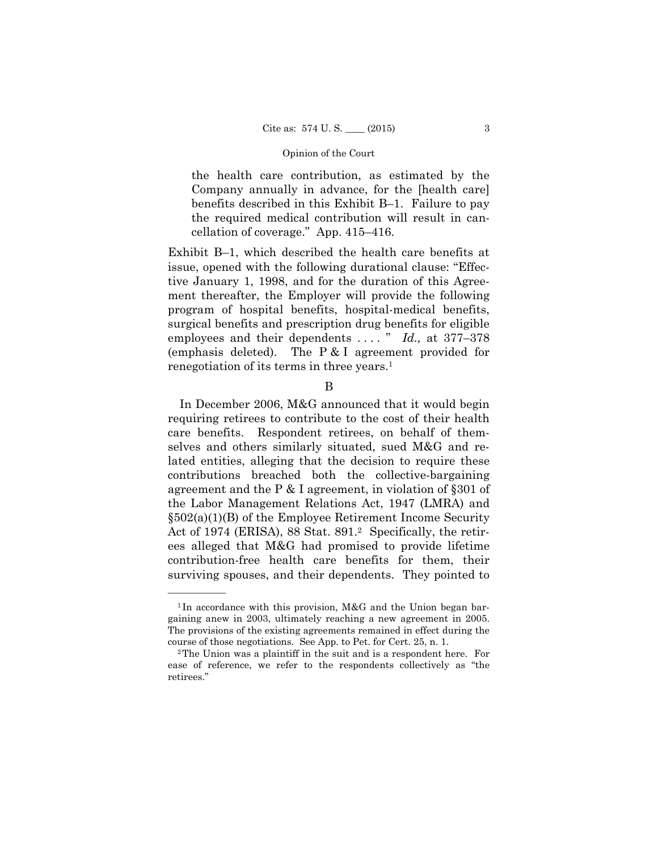the health care contribution, as estimated by the Company annually in advance, for the [health care] benefits described in this Exhibit B–1. Failure to pay the required medical contribution will result in cancellation of coverage." App. 415–416.

Exhibit B–1, which described the health care benefits at issue, opened with the following durational clause: "Effective January 1, 1998, and for the duration of this Agreement thereafter, the Employer will provide the following program of hospital benefits, hospital-medical benefits, surgical benefits and prescription drug benefits for eligible employees and their dependents . . . . " *Id.,* at 377–378 (emphasis deleted). The P & I agreement provided for renegotiation of its terms in three years.<sup>1</sup>

B

In December 2006, M&G announced that it would begin requiring retirees to contribute to the cost of their health care benefits. Respondent retirees, on behalf of themselves and others similarly situated, sued M&G and related entities, alleging that the decision to require these contributions breached both the collective-bargaining agreement and the P & I agreement, in violation of §301 of the Labor Management Relations Act, 1947 (LMRA) and §502(a)(1)(B) of the Employee Retirement Income Security Act of 1974 (ERISA), 88 Stat. 891.<sup>2</sup> Specifically, the retirees alleged that M&G had promised to provide lifetime contribution-free health care benefits for them, their surviving spouses, and their dependents. They pointed to

——————

<sup>&</sup>lt;sup>1</sup>In accordance with this provision, M&G and the Union began bargaining anew in 2003, ultimately reaching a new agreement in 2005. The provisions of the existing agreements remained in effect during the course of those negotiations. See App. to Pet. for Cert. 25, n. 1. 2The Union was a plaintiff in the suit and is a respondent here. For

ease of reference, we refer to the respondents collectively as "the retirees."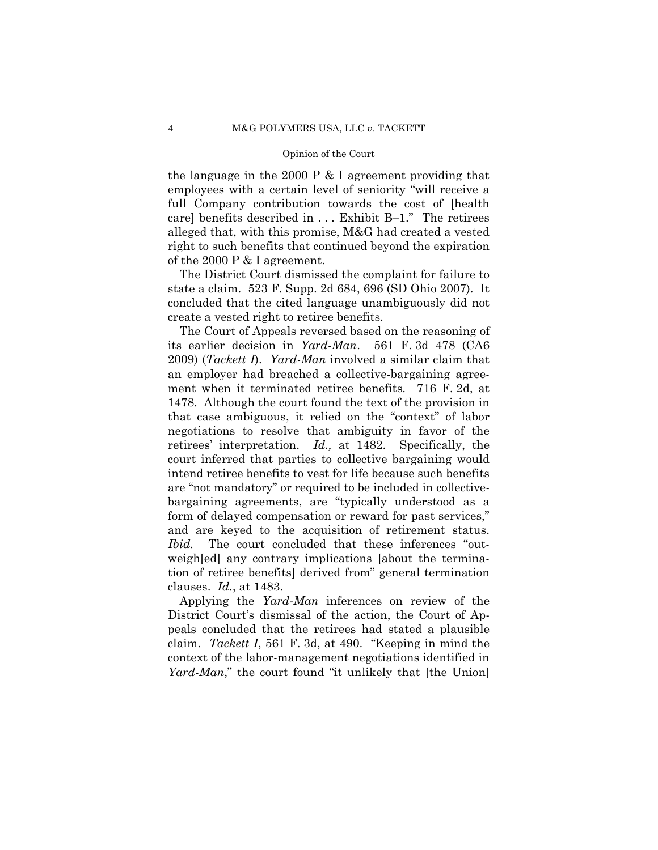the language in the 2000 P & I agreement providing that employees with a certain level of seniority "will receive a full Company contribution towards the cost of [health care] benefits described in . . . Exhibit B–1." The retirees alleged that, with this promise, M&G had created a vested right to such benefits that continued beyond the expiration of the 2000 P & I agreement.

The District Court dismissed the complaint for failure to state a claim. 523 F. Supp. 2d 684, 696 (SD Ohio 2007). It concluded that the cited language unambiguously did not create a vested right to retiree benefits.

The Court of Appeals reversed based on the reasoning of its earlier decision in *Yard-Man*. 561 F. 3d 478 (CA6 2009) (*Tackett I*). *Yard-Man* involved a similar claim that an employer had breached a collective-bargaining agreement when it terminated retiree benefits. 716 F. 2d, at 1478. Although the court found the text of the provision in that case ambiguous, it relied on the "context" of labor negotiations to resolve that ambiguity in favor of the retirees' interpretation. *Id.,* at 1482. Specifically, the court inferred that parties to collective bargaining would intend retiree benefits to vest for life because such benefits are "not mandatory" or required to be included in collectivebargaining agreements, are "typically understood as a form of delayed compensation or reward for past services," and are keyed to the acquisition of retirement status. *Ibid.* The court concluded that these inferences "outweigh[ed] any contrary implications [about the termination of retiree benefits] derived from" general termination clauses. *Id.*, at 1483.

 Applying the *Yard-Man* inferences on review of the District Court's dismissal of the action, the Court of Appeals concluded that the retirees had stated a plausible claim. *Tackett I*, 561 F. 3d, at 490. "Keeping in mind the context of the labor-management negotiations identified in *Yard-Man*," the court found "it unlikely that [the Union]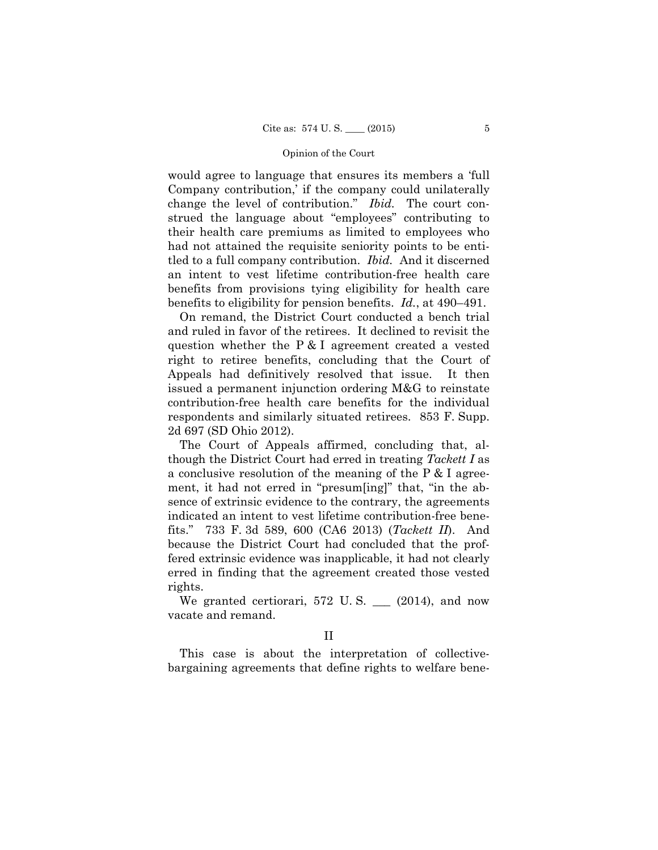change the level of contribution." *Ibid.* The court conwould agree to language that ensures its members a 'full Company contribution,' if the company could unilaterally strued the language about "employees" contributing to their health care premiums as limited to employees who had not attained the requisite seniority points to be entitled to a full company contribution. *Ibid.* And it discerned an intent to vest lifetime contribution-free health care benefits from provisions tying eligibility for health care benefits to eligibility for pension benefits. *Id.*, at 490–491.

On remand, the District Court conducted a bench trial and ruled in favor of the retirees. It declined to revisit the question whether the P & I agreement created a vested right to retiree benefits, concluding that the Court of Appeals had definitively resolved that issue. It then issued a permanent injunction ordering M&G to reinstate contribution-free health care benefits for the individual respondents and similarly situated retirees. 853 F. Supp. 2d 697 (SD Ohio 2012).

The Court of Appeals affirmed, concluding that, although the District Court had erred in treating *Tackett I* as a conclusive resolution of the meaning of the P & I agreement, it had not erred in "presum[ing]" that, "in the absence of extrinsic evidence to the contrary, the agreements indicated an intent to vest lifetime contribution-free benefits." 733 F. 3d 589, 600 (CA6 2013) (*Tackett II*). And because the District Court had concluded that the proffered extrinsic evidence was inapplicable, it had not clearly erred in finding that the agreement created those vested rights.

We granted certiorari,  $572$  U.S.  $\_\_$  (2014), and now vacate and remand.

II

This case is about the interpretation of collectivebargaining agreements that define rights to welfare bene-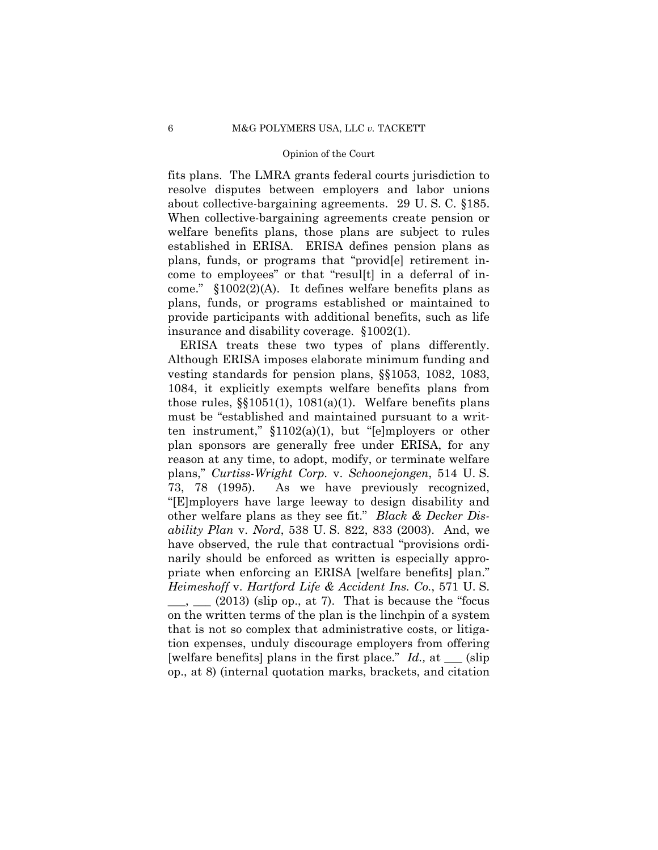fits plans. The LMRA grants federal courts jurisdiction to resolve disputes between employers and labor unions about collective-bargaining agreements. 29 U. S. C. §185. When collective-bargaining agreements create pension or welfare benefits plans, those plans are subject to rules established in ERISA. ERISA defines pension plans as plans, funds, or programs that "provid[e] retirement income to employees" or that "resul[t] in a deferral of income." §1002(2)(A). It defines welfare benefits plans as plans, funds, or programs established or maintained to provide participants with additional benefits, such as life insurance and disability coverage. §1002(1).

ERISA treats these two types of plans differently. Although ERISA imposes elaborate minimum funding and vesting standards for pension plans, §§1053, 1082, 1083, 1084, it explicitly exempts welfare benefits plans from those rules,  $\S(1051(1), 1081(a)(1)$ . Welfare benefits plans must be "established and maintained pursuant to a written instrument,"  $$1102(a)(1)$ , but "[e]mployers or other plan sponsors are generally free under ERISA, for any reason at any time, to adopt, modify, or terminate welfare plans," *Curtiss-Wright Corp.* v. *Schoonejongen*, 514 U. S. 73, 78 (1995). As we have previously recognized, "[E]mployers have large leeway to design disability and other welfare plans as they see fit." *Black & Decker Disability Plan* v. *Nord*, 538 U. S. 822, 833 (2003). And, we have observed, the rule that contractual "provisions ordinarily should be enforced as written is especially appropriate when enforcing an ERISA [welfare benefits] plan." *Heimeshoff* v. *Hartford Life & Accident Ins. Co.*, 571 U. S.  $\mu$ ,  $\mu$  (2013) (slip op., at 7). That is because the "focus on the written terms of the plan is the linchpin of a system that is not so complex that administrative costs, or litigation expenses, unduly discourage employers from offering [welfare benefits] plans in the first place." *Id.,* at \_\_\_ (slip op., at 8) (internal quotation marks, brackets, and citation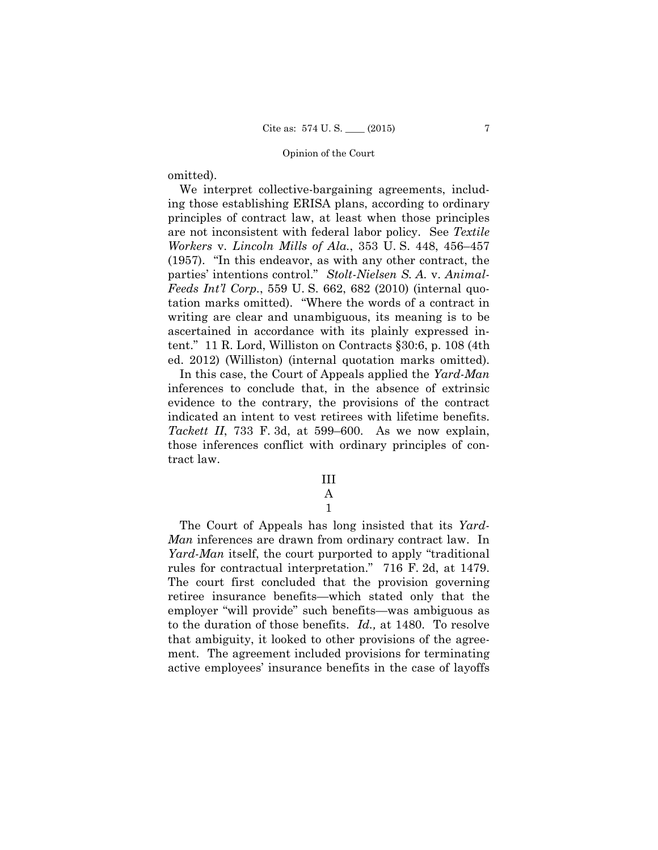omitted).

We interpret collective-bargaining agreements, including those establishing ERISA plans, according to ordinary principles of contract law, at least when those principles are not inconsistent with federal labor policy. See *Textile Workers* v. *Lincoln Mills of Ala.*, 353 U. S. 448, 456–457 (1957). "In this endeavor, as with any other contract, the parties' intentions control." *Stolt-Nielsen S. A.* v. *Animal-Feeds Int'l Corp.*, 559 U. S. 662, 682 (2010) (internal quotation marks omitted). "Where the words of a contract in writing are clear and unambiguous, its meaning is to be ascertained in accordance with its plainly expressed intent." 11 R. Lord, Williston on Contracts §30:6, p. 108 (4th ed. 2012) (Williston) (internal quotation marks omitted).

In this case, the Court of Appeals applied the *Yard-Man*  inferences to conclude that, in the absence of extrinsic evidence to the contrary, the provisions of the contract indicated an intent to vest retirees with lifetime benefits. *Tackett II*, 733 F. 3d, at 599–600. As we now explain, those inferences conflict with ordinary principles of contract law.

III

## A 1

The Court of Appeals has long insisted that its *Yard-Man* inferences are drawn from ordinary contract law. In *Yard-Man* itself, the court purported to apply "traditional rules for contractual interpretation." 716 F. 2d, at 1479. The court first concluded that the provision governing retiree insurance benefits—which stated only that the employer "will provide" such benefits—was ambiguous as to the duration of those benefits. *Id.,* at 1480. To resolve that ambiguity, it looked to other provisions of the agreement. The agreement included provisions for terminating active employees' insurance benefits in the case of layoffs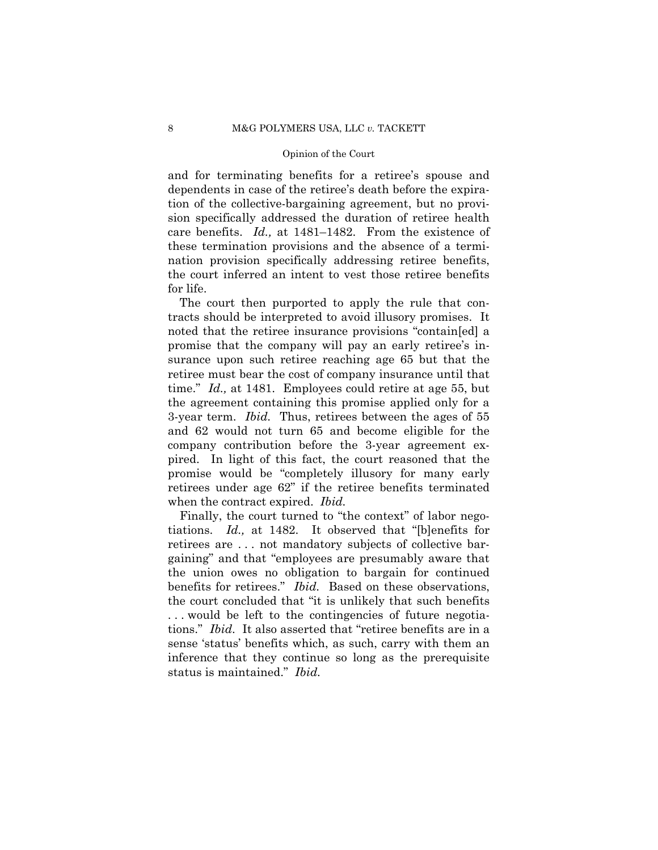and for terminating benefits for a retiree's spouse and dependents in case of the retiree's death before the expiration of the collective-bargaining agreement, but no provision specifically addressed the duration of retiree health care benefits. *Id.,* at 1481–1482. From the existence of these termination provisions and the absence of a termination provision specifically addressing retiree benefits, the court inferred an intent to vest those retiree benefits for life.

The court then purported to apply the rule that contracts should be interpreted to avoid illusory promises. It noted that the retiree insurance provisions "contain[ed] a promise that the company will pay an early retiree's insurance upon such retiree reaching age 65 but that the retiree must bear the cost of company insurance until that time." *Id.,* at 1481. Employees could retire at age 55, but the agreement containing this promise applied only for a 3-year term. *Ibid.* Thus, retirees between the ages of 55 and 62 would not turn 65 and become eligible for the company contribution before the 3-year agreement expired. In light of this fact, the court reasoned that the promise would be "completely illusory for many early retirees under age 62" if the retiree benefits terminated when the contract expired. *Ibid.* 

Finally, the court turned to "the context" of labor negotiations. *Id.,* at 1482. It observed that "[b]enefits for retirees are . . . not mandatory subjects of collective bargaining" and that "employees are presumably aware that the union owes no obligation to bargain for continued benefits for retirees." *Ibid.* Based on these observations, the court concluded that "it is unlikely that such benefits . . . would be left to the contingencies of future negotiations." *Ibid*. It also asserted that "retiree benefits are in a sense 'status' benefits which, as such, carry with them an inference that they continue so long as the prerequisite status is maintained." *Ibid.*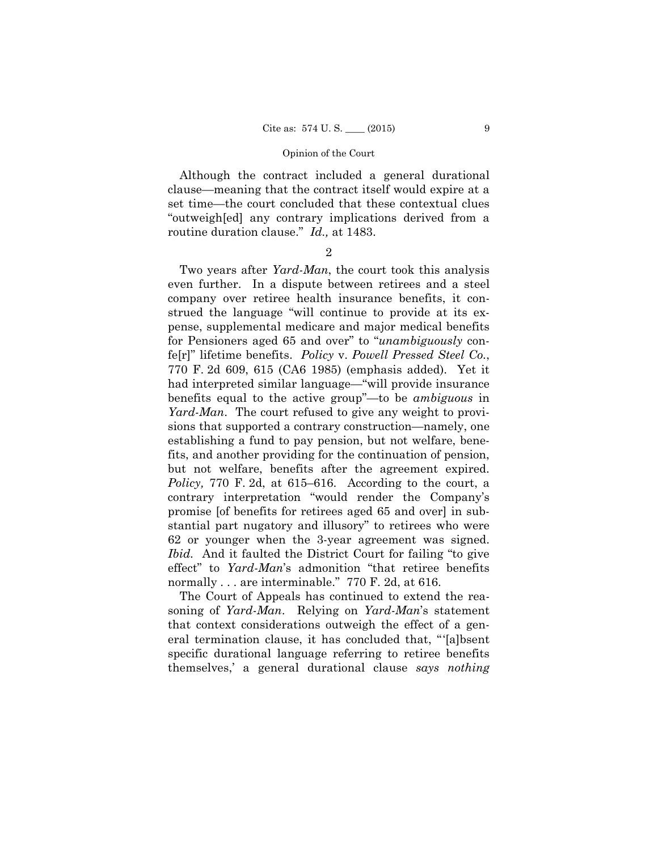Although the contract included a general durational clause—meaning that the contract itself would expire at a set time—the court concluded that these contextual clues "outweigh[ed] any contrary implications derived from a routine duration clause." *Id.,* at 1483.

2

Two years after *Yard-Man*, the court took this analysis even further. In a dispute between retirees and a steel company over retiree health insurance benefits, it construed the language "will continue to provide at its expense, supplemental medicare and major medical benefits for Pensioners aged 65 and over" to "*unambiguously* confe[r]" lifetime benefits. *Policy* v. *Powell Pressed Steel Co.*, 770 F. 2d 609, 615 (CA6 1985) (emphasis added). Yet it had interpreted similar language—"will provide insurance benefits equal to the active group"—to be *ambiguous* in *Yard-Man*. The court refused to give any weight to provisions that supported a contrary construction—namely, one establishing a fund to pay pension, but not welfare, benefits, and another providing for the continuation of pension, but not welfare, benefits after the agreement expired. *Policy,* 770 F. 2d, at 615–616. According to the court, a contrary interpretation "would render the Company's promise [of benefits for retirees aged 65 and over] in substantial part nugatory and illusory" to retirees who were 62 or younger when the 3-year agreement was signed. *Ibid.* And it faulted the District Court for failing "to give effect" to *Yard-Man*'s admonition "that retiree benefits normally . . . are interminable." 770 F. 2d, at 616.

The Court of Appeals has continued to extend the reasoning of *Yard-Man*. Relying on *Yard-Man*'s statement that context considerations outweigh the effect of a general termination clause, it has concluded that, "'[a]bsent specific durational language referring to retiree benefits themselves,' a general durational clause *says nothing*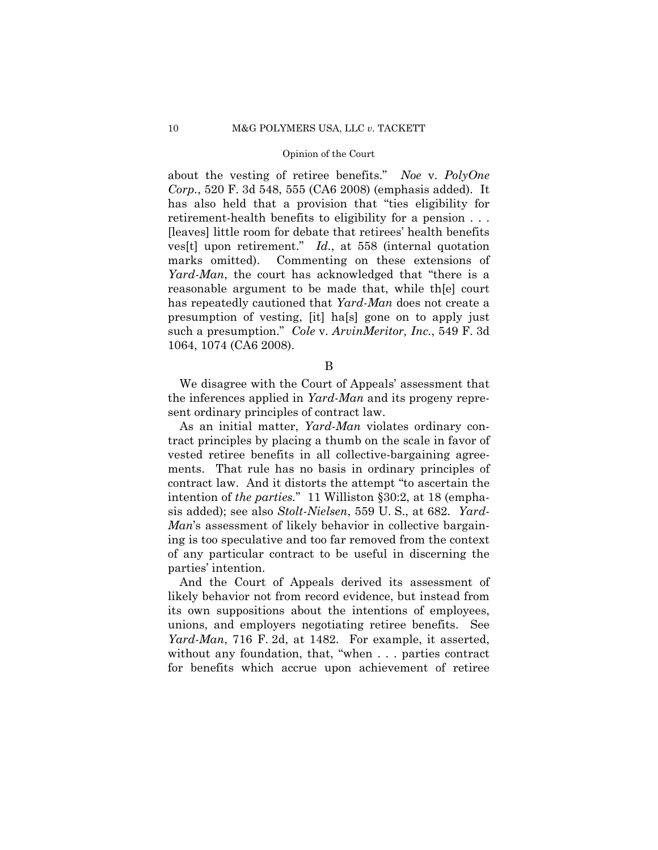about the vesting of retiree benefits." *Noe* v. *PolyOne Corp.*, 520 F. 3d 548, 555 (CA6 2008) (emphasis added). It has also held that a provision that "ties eligibility for retirement-health benefits to eligibility for a pension . . . [leaves] little room for debate that retirees' health benefits ves[t] upon retirement." *Id.*, at 558 (internal quotation marks omitted). Commenting on these extensions of *Yard-Man*, the court has acknowledged that "there is a reasonable argument to be made that, while th[e] court has repeatedly cautioned that *Yard-Man* does not create a presumption of vesting, [it] ha[s] gone on to apply just such a presumption." *Cole* v. *ArvinMeritor, Inc.*, 549 F. 3d 1064, 1074 (CA6 2008).

B

We disagree with the Court of Appeals' assessment that the inferences applied in *Yard-Man* and its progeny represent ordinary principles of contract law.

As an initial matter, *Yard-Man* violates ordinary contract principles by placing a thumb on the scale in favor of vested retiree benefits in all collective-bargaining agreements. That rule has no basis in ordinary principles of contract law. And it distorts the attempt "to ascertain the intention of *the parties.*" 11 Williston §30:2, at 18 (emphasis added); see also *Stolt-Nielsen*, 559 U. S., at 682. *Yard-Man*'s assessment of likely behavior in collective bargaining is too speculative and too far removed from the context of any particular contract to be useful in discerning the parties' intention.

And the Court of Appeals derived its assessment of likely behavior not from record evidence, but instead from its own suppositions about the intentions of employees, unions, and employers negotiating retiree benefits. See *Yard-Man*, 716 F. 2d, at 1482. For example, it asserted, without any foundation, that, "when . . . parties contract for benefits which accrue upon achievement of retiree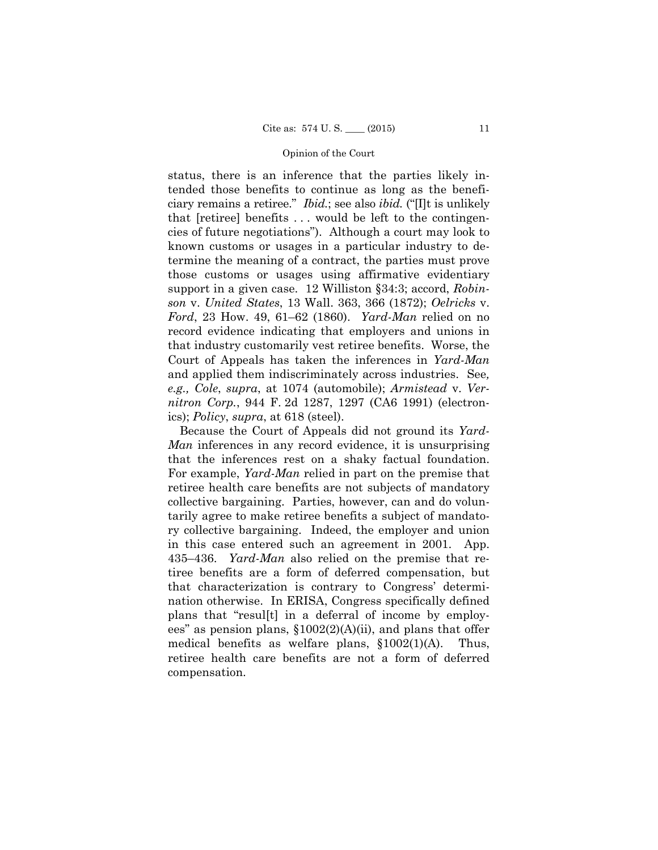status, there is an inference that the parties likely intended those benefits to continue as long as the beneficiary remains a retiree." *Ibid.*; see also *ibid.* ("[I]t is unlikely that [retiree] benefits . . . would be left to the contingencies of future negotiations"). Although a court may look to known customs or usages in a particular industry to determine the meaning of a contract, the parties must prove those customs or usages using affirmative evidentiary support in a given case. 12 Williston §34:3; accord, *Robinson* v. *United States*, 13 Wall. 363, 366 (1872); *Oelricks* v. *Ford*, 23 How. 49, 61–62 (1860). *Yard-Man* relied on no record evidence indicating that employers and unions in that industry customarily vest retiree benefits. Worse, the Court of Appeals has taken the inferences in *Yard-Man*  and applied them indiscriminately across industries. See*, e.g., Cole*, *supra*, at 1074 (automobile); *Armistead* v. *Vernitron Corp.*, 944 F. 2d 1287, 1297 (CA6 1991) (electronics); *Policy*, *supra*, at 618 (steel).

Because the Court of Appeals did not ground its *Yard-Man* inferences in any record evidence, it is unsurprising that the inferences rest on a shaky factual foundation. For example, *Yard-Man* relied in part on the premise that retiree health care benefits are not subjects of mandatory collective bargaining. Parties, however, can and do voluntarily agree to make retiree benefits a subject of mandatory collective bargaining. Indeed, the employer and union in this case entered such an agreement in 2001. App. 435–436. *Yard-Man* also relied on the premise that retiree benefits are a form of deferred compensation, but that characterization is contrary to Congress' determination otherwise. In ERISA, Congress specifically defined plans that "resul[t] in a deferral of income by employees" as pension plans,  $$1002(2)(A)(ii)$ , and plans that offer medical benefits as welfare plans, §1002(1)(A). Thus, retiree health care benefits are not a form of deferred compensation.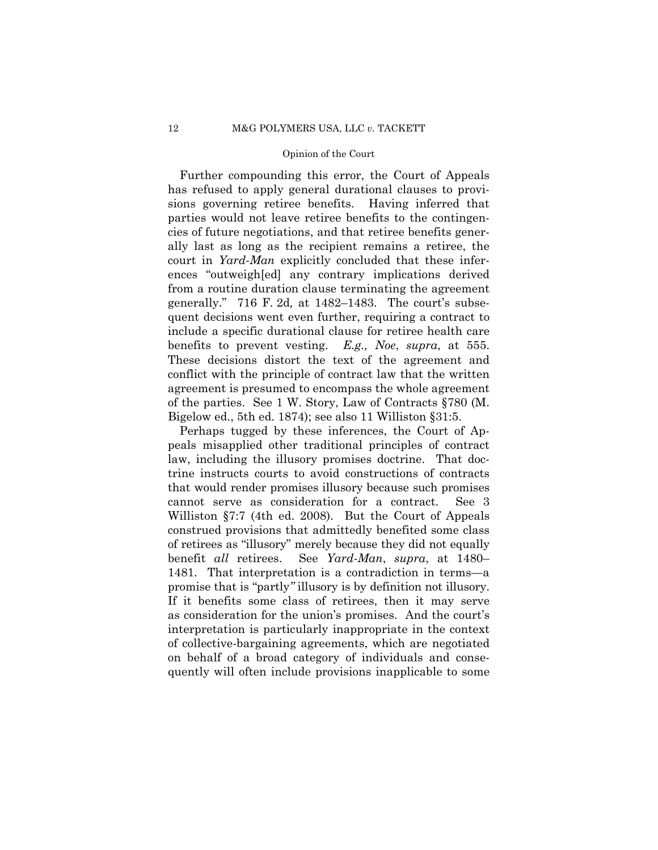Further compounding this error, the Court of Appeals has refused to apply general durational clauses to provisions governing retiree benefits. Having inferred that parties would not leave retiree benefits to the contingencies of future negotiations, and that retiree benefits generally last as long as the recipient remains a retiree, the court in *Yard-Man* explicitly concluded that these inferences "outweigh[ed] any contrary implications derived from a routine duration clause terminating the agreement generally." 716 F. 2d*,* at 1482–1483. The court's subsequent decisions went even further, requiring a contract to include a specific durational clause for retiree health care benefits to prevent vesting. *E.g., Noe*, *supra*, at 555. These decisions distort the text of the agreement and conflict with the principle of contract law that the written agreement is presumed to encompass the whole agreement of the parties. See 1 W. Story, Law of Contracts §780 (M. Bigelow ed., 5th ed. 1874); see also 11 Williston §31:5.

 promise that is "partly*"* illusory is by definition not illusory. Perhaps tugged by these inferences, the Court of Appeals misapplied other traditional principles of contract law, including the illusory promises doctrine. That doctrine instructs courts to avoid constructions of contracts that would render promises illusory because such promises cannot serve as consideration for a contract. See 3 Williston §7:7 (4th ed. 2008). But the Court of Appeals construed provisions that admittedly benefited some class of retirees as "illusory" merely because they did not equally benefit *all* retirees. See *Yard-Man*, *supra*, at 1480– 1481. That interpretation is a contradiction in terms—a If it benefits some class of retirees, then it may serve as consideration for the union's promises. And the court's interpretation is particularly inappropriate in the context of collective-bargaining agreements, which are negotiated on behalf of a broad category of individuals and consequently will often include provisions inapplicable to some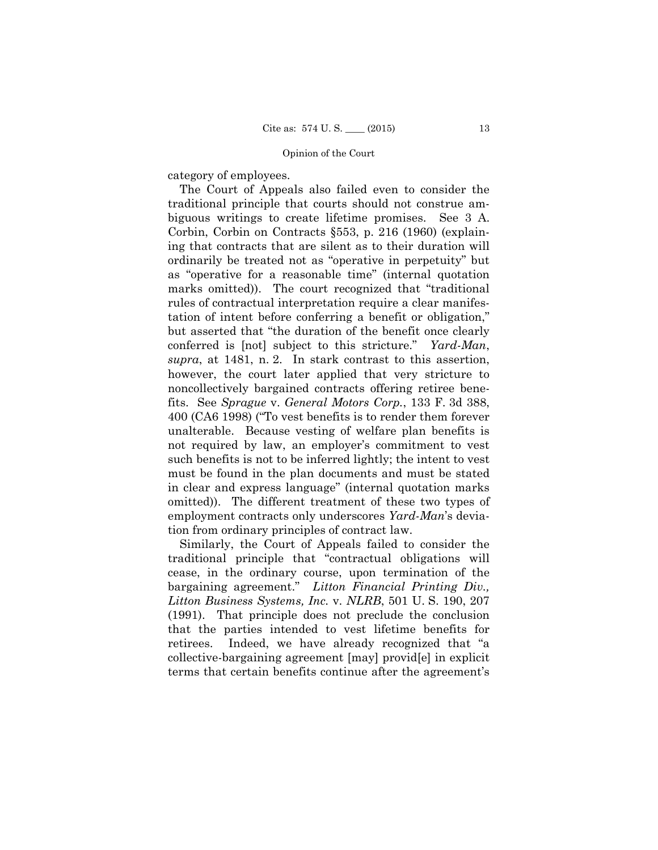category of employees.

 conferred is [not] subject to this stricture." *Yard-Man*, The Court of Appeals also failed even to consider the traditional principle that courts should not construe ambiguous writings to create lifetime promises. See 3 A. Corbin, Corbin on Contracts §553, p. 216 (1960) (explaining that contracts that are silent as to their duration will ordinarily be treated not as "operative in perpetuity" but as "operative for a reasonable time" (internal quotation marks omitted)). The court recognized that "traditional rules of contractual interpretation require a clear manifestation of intent before conferring a benefit or obligation," but asserted that "the duration of the benefit once clearly *supra*, at 1481, n. 2. In stark contrast to this assertion, however, the court later applied that very stricture to noncollectively bargained contracts offering retiree benefits. See *Sprague* v. *General Motors Corp.*, 133 F. 3d 388, 400 (CA6 1998) ("To vest benefits is to render them forever unalterable. Because vesting of welfare plan benefits is not required by law, an employer's commitment to vest such benefits is not to be inferred lightly; the intent to vest must be found in the plan documents and must be stated in clear and express language" (internal quotation marks omitted)). The different treatment of these two types of employment contracts only underscores *Yard-Man*'s deviation from ordinary principles of contract law.

Similarly, the Court of Appeals failed to consider the traditional principle that "contractual obligations will cease, in the ordinary course, upon termination of the bargaining agreement." *Litton Financial Printing Div., Litton Business Systems, Inc.* v. *NLRB*, 501 U. S. 190, 207 (1991). That principle does not preclude the conclusion that the parties intended to vest lifetime benefits for retirees. Indeed, we have already recognized that "a collective-bargaining agreement [may] provid[e] in explicit terms that certain benefits continue after the agreement's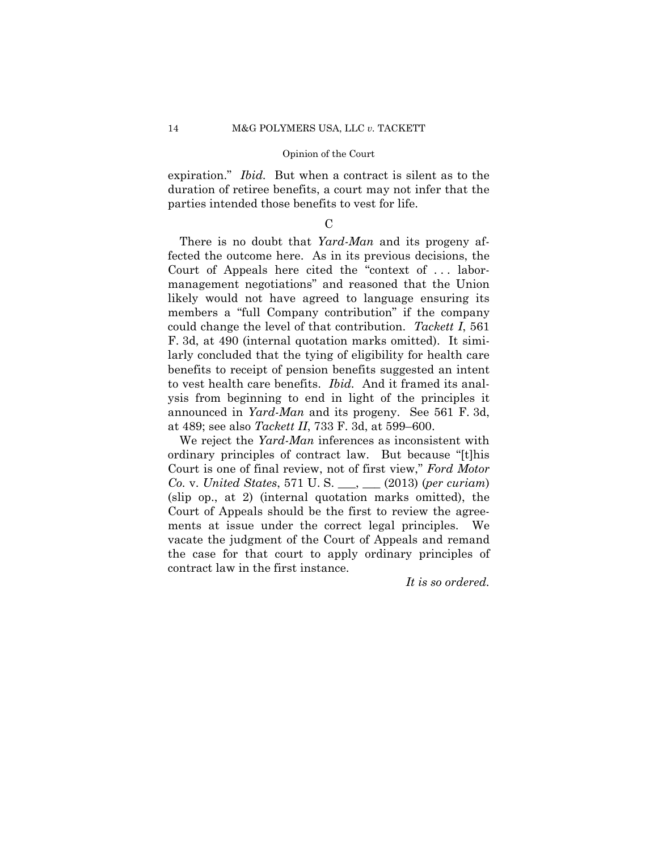expiration." *Ibid.* But when a contract is silent as to the duration of retiree benefits, a court may not infer that the parties intended those benefits to vest for life.

 $\mathcal{C}$ 

There is no doubt that *Yard-Man* and its progeny affected the outcome here. As in its previous decisions, the Court of Appeals here cited the "context of . . . labormanagement negotiations" and reasoned that the Union likely would not have agreed to language ensuring its members a "full Company contribution" if the company could change the level of that contribution. *Tackett I*, 561 F. 3d, at 490 (internal quotation marks omitted). It similarly concluded that the tying of eligibility for health care benefits to receipt of pension benefits suggested an intent to vest health care benefits. *Ibid.* And it framed its analysis from beginning to end in light of the principles it announced in *Yard-Man* and its progeny. See 561 F. 3d, at 489; see also *Tackett II*, 733 F. 3d, at 599–600.

We reject the *Yard-Man* inferences as inconsistent with ordinary principles of contract law. But because "[t]his Court is one of final review, not of first view," *Ford Motor Co.* v. *United States*, 571 U. S. \_\_\_, \_\_\_ (2013) (*per curiam*) (slip op., at 2) (internal quotation marks omitted), the Court of Appeals should be the first to review the agreements at issue under the correct legal principles. We vacate the judgment of the Court of Appeals and remand the case for that court to apply ordinary principles of contract law in the first instance.

*It is so ordered.*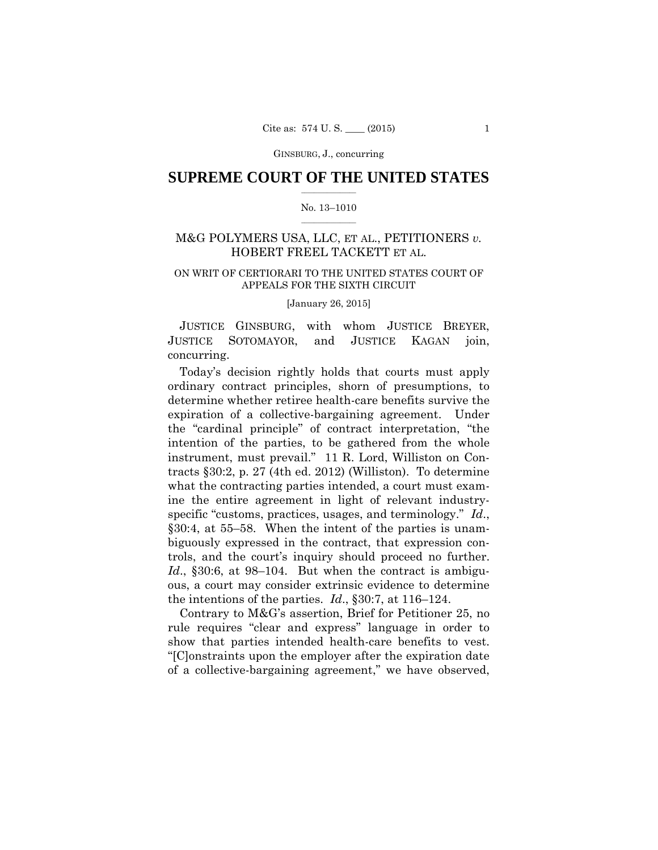GINSBURG, J., concurring

## $\frac{1}{2}$  ,  $\frac{1}{2}$  ,  $\frac{1}{2}$  ,  $\frac{1}{2}$  ,  $\frac{1}{2}$  ,  $\frac{1}{2}$  ,  $\frac{1}{2}$ **SUPREME COURT OF THE UNITED STATES**

#### $\frac{1}{2}$  ,  $\frac{1}{2}$  ,  $\frac{1}{2}$  ,  $\frac{1}{2}$  ,  $\frac{1}{2}$  ,  $\frac{1}{2}$ No. 13–1010

## M&G POLYMERS USA, LLC, ET AL., PETITIONERS *v.* HOBERT FREEL TACKETT ET AL.

## ON WRIT OF CERTIORARI TO THE UNITED STATES COURT OF APPEALS FOR THE SIXTH CIRCUIT

[January 26, 2015]

 JUSTICE GINSBURG, with whom JUSTICE BREYER, JUSTICE SOTOMAYOR, and JUSTICE KAGAN join, concurring.

 trols, and the court's inquiry should proceed no further. Today's decision rightly holds that courts must apply ordinary contract principles, shorn of presumptions, to determine whether retiree health-care benefits survive the expiration of a collective-bargaining agreement. Under the "cardinal principle" of contract interpretation, "the intention of the parties, to be gathered from the whole instrument, must prevail." 11 R. Lord, Williston on Contracts §30:2, p. 27 (4th ed. 2012) (Williston). To determine what the contracting parties intended, a court must examine the entire agreement in light of relevant industryspecific "customs, practices, usages, and terminology." *Id*., §30:4, at 55–58. When the intent of the parties is unambiguously expressed in the contract, that expression con-*Id.*, §30:6, at 98–104. But when the contract is ambiguous, a court may consider extrinsic evidence to determine the intentions of the parties. *Id*., §30:7, at 116–124.

Contrary to M&G's assertion, Brief for Petitioner 25, no rule requires "clear and express" language in order to show that parties intended health-care benefits to vest. "[C]onstraints upon the employer after the expiration date of a collective-bargaining agreement," we have observed,